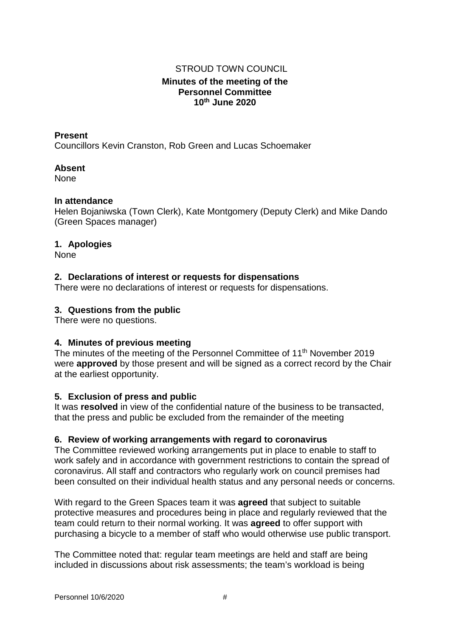# **Minutes of the meeting of the Personnel Committee 10th June 2020** STROUD TOWN COUNCIL

#### **Present**

Councillors Kevin Cranston, Rob Green and Lucas Schoemaker

#### **Absent**

None

#### **In attendance**

Helen Bojaniwska (Town Clerk), Kate Montgomery (Deputy Clerk) and Mike Dando (Green Spaces manager)

## **1. Apologies**

None

## **2. Declarations of interest or requests for dispensations**

There were no declarations of interest or requests for dispensations.

## **3. Questions from the public**

There were no questions.

## **4. Minutes of previous meeting**

The minutes of the meeting of the Personnel Committee of 11<sup>th</sup> November 2019 were **approved** by those present and will be signed as a correct record by the Chair at the earliest opportunity.

## **5. Exclusion of press and public**

It was **resolved** in view of the confidential nature of the business to be transacted, that the press and public be excluded from the remainder of the meeting

#### **6. Review of working arrangements with regard to coronavirus**

The Committee reviewed working arrangements put in place to enable to staff to work safely and in accordance with government restrictions to contain the spread of coronavirus. All staff and contractors who regularly work on council premises had been consulted on their individual health status and any personal needs or concerns.

With regard to the Green Spaces team it was **agreed** that subject to suitable protective measures and procedures being in place and regularly reviewed that the team could return to their normal working. It was **agreed** to offer support with purchasing a bicycle to a member of staff who would otherwise use public transport.

The Committee noted that: regular team meetings are held and staff are being included in discussions about risk assessments; the team's workload is being